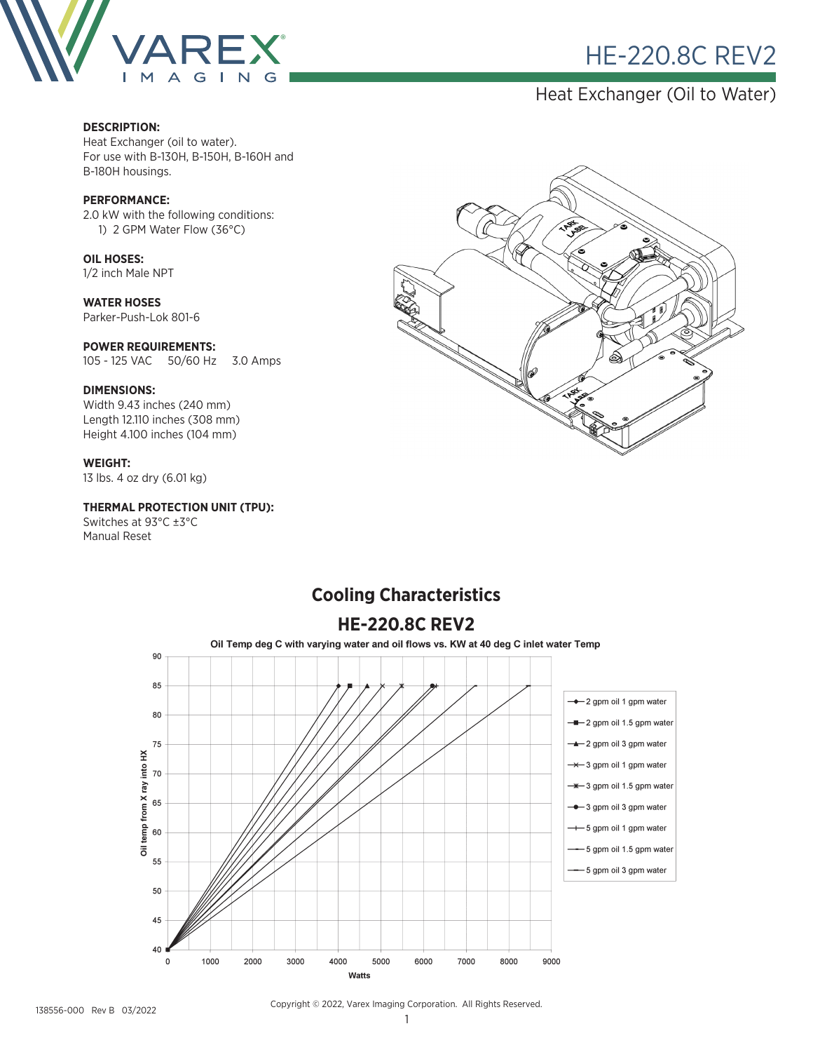

# **HE-220.8C REV2**

## Heat Exchanger (Oil to Water)

#### **DESCRIPTION:**

Heat Exchanger (oil to water). For use with B-130H, B-150H, B-160H and B-180H housings.

#### **PERFORMANCE:**

2.0 kW with the following conditions: 1) 2 GPM Water Flow (36°C)

**OIL HOSES:** 1/2 inch Male NPT

**WATER HOSES** Parker-Push-Lok 801-6

#### **POWER REQUIREMENTS:**

105 - 125 VAC 50/60 Hz 3.0 Amps

#### **DIMENSIONS:**

Width 9.43 inches (240 mm) Length 12.110 inches (308 mm) Height 4.100 inches (104 mm)

#### **WEIGHT:**

13 lbs. 4 oz dry (6.01 kg)

temp from X ray into HX

 $\frac{1}{5}$ 

40

 $\mathbf 0$ 

1000

2000

3000

4000

Watts

#### **THERMAL PROTECTION UNIT (TPU):**

Switches at 93°C ±3°C Manual Reset



#### **HE-220.8C REV2**Oil Temp deg C with varying water and oil flows vs. KW at 40 deg C inlet water Temp 90 85 → 2 gpm oil 1 gpm water 80 -- 2 gpm oil 1.5 gpm water -▲ 2 gpm oil 3 gpm water 75 -\*-3 gpm oil 1 gpm water  $70$ -\*-3 gpm oil 1.5 gpm water 65 - 3 gpm oil 3 gpm water -- 5 gpm oil 1 gpm water 60 -- 5 gpm oil 1.5 gpm water 55 -5 gpm oil 3 gpm water 50 45

# **Cooling Characteristics**

#### 138556-000 Rev B 03/2022

Copyright © 2022, Varex Imaging Corporation. All Rights Reserved.

6000

5000

7000

8000

9000